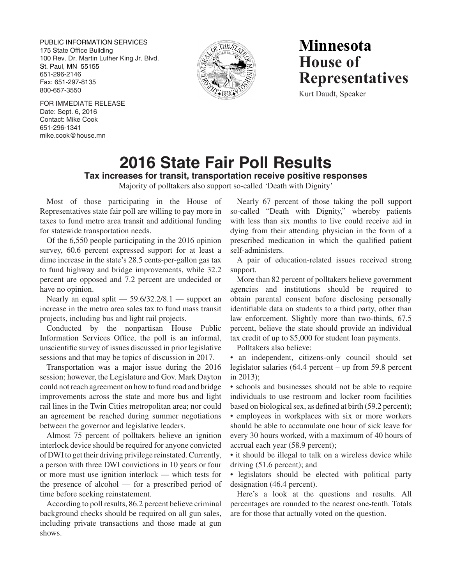PUBLIC INFORMATION SERVICES 175 State Office Building 100 Rev. Dr. Martin Luther King Jr. Blvd. St. Paul, MN 55155 651-296-2146 Fax: 651-297-8135 800-657-3550



# **Minnesota House of Representatives**

Kurt Daudt, Speaker

FOR IMMEDIATE RELEASE Date: Sept. 6, 2016 Contact: Mike Cook 651-296-1341 mike.cook@house.mn

# **2016 State Fair Poll Results Tax increases for transit, transportation receive positive responses**

Majority of polltakers also support so-called 'Death with Dignity'

Most of those participating in the House of Representatives state fair poll are willing to pay more in taxes to fund metro area transit and additional funding for statewide transportation needs.

Of the 6,550 people participating in the 2016 opinion survey, 60.6 percent expressed support for at least a dime increase in the state's 28.5 cents-per-gallon gas tax to fund highway and bridge improvements, while 32.2 percent are opposed and 7.2 percent are undecided or have no opinion.

Nearly an equal split  $-$  59.6/32.2/8.1  $-$  support an increase in the metro area sales tax to fund mass transit projects, including bus and light rail projects.

Conducted by the nonpartisan House Public Information Services Office, the poll is an informal, unscientific survey of issues discussed in prior legislative sessions and that may be topics of discussion in 2017.

Transportation was a major issue during the 2016 session; however, the Legislature and Gov. Mark Dayton could not reach agreement on how to fund road and bridge improvements across the state and more bus and light rail lines in the Twin Cities metropolitan area; nor could an agreement be reached during summer negotiations between the governor and legislative leaders.

Almost 75 percent of polltakers believe an ignition interlock device should be required for anyone convicted of DWI to get their driving privilege reinstated. Currently, a person with three DWI convictions in 10 years or four or more must use ignition interlock — which tests for the presence of alcohol — for a prescribed period of time before seeking reinstatement.

According to poll results, 86.2 percent believe criminal background checks should be required on all gun sales, including private transactions and those made at gun shows.

Nearly 67 percent of those taking the poll support so-called "Death with Dignity," whereby patients with less than six months to live could receive aid in dying from their attending physician in the form of a prescribed medication in which the qualified patient self-administers.

A pair of education-related issues received strong support.

More than 82 percent of polltakers believe government agencies and institutions should be required to obtain parental consent before disclosing personally identifiable data on students to a third party, other than law enforcement. Slightly more than two-thirds, 67.5 percent, believe the state should provide an individual tax credit of up to \$5,000 for student loan payments.

Polltakers also believe:

• an independent, citizens-only council should set legislator salaries (64.4 percent – up from 59.8 percent in 2013);

• schools and businesses should not be able to require individuals to use restroom and locker room facilities based on biological sex, as defined at birth (59.2 percent);

• employees in workplaces with six or more workers should be able to accumulate one hour of sick leave for every 30 hours worked, with a maximum of 40 hours of accrual each year (58.9 percent);

• it should be illegal to talk on a wireless device while driving (51.6 percent); and

• legislators should be elected with political party designation (46.4 percent).

Here's a look at the questions and results. All percentages are rounded to the nearest one-tenth. Totals are for those that actually voted on the question.